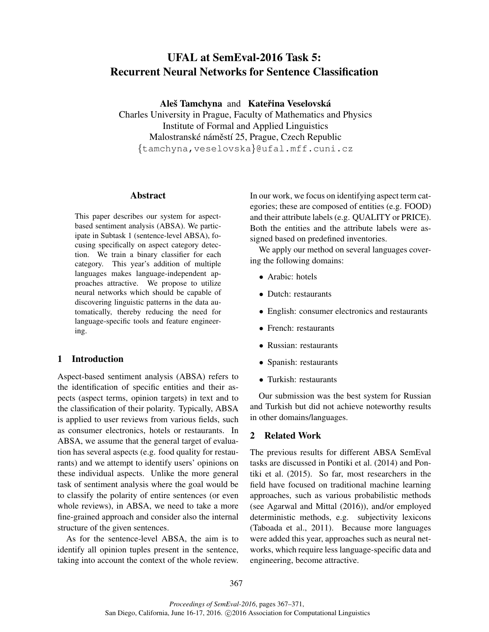# UFAL at SemEval-2016 Task 5: Recurrent Neural Networks for Sentence Classification

Aleš Tamchyna and Kateřina Veselovská

Charles University in Prague, Faculty of Mathematics and Physics Institute of Formal and Applied Linguistics Malostranské náměstí 25, Prague, Czech Republic {tamchyna,veselovska}@ufal.mff.cuni.cz

#### Abstract

This paper describes our system for aspectbased sentiment analysis (ABSA). We participate in Subtask 1 (sentence-level ABSA), focusing specifically on aspect category detection. We train a binary classifier for each category. This year's addition of multiple languages makes language-independent approaches attractive. We propose to utilize neural networks which should be capable of discovering linguistic patterns in the data automatically, thereby reducing the need for language-specific tools and feature engineering.

## 1 Introduction

Aspect-based sentiment analysis (ABSA) refers to the identification of specific entities and their aspects (aspect terms, opinion targets) in text and to the classification of their polarity. Typically, ABSA is applied to user reviews from various fields, such as consumer electronics, hotels or restaurants. In ABSA, we assume that the general target of evaluation has several aspects (e.g. food quality for restaurants) and we attempt to identify users' opinions on these individual aspects. Unlike the more general task of sentiment analysis where the goal would be to classify the polarity of entire sentences (or even whole reviews), in ABSA, we need to take a more fine-grained approach and consider also the internal structure of the given sentences.

As for the sentence-level ABSA, the aim is to identify all opinion tuples present in the sentence, taking into account the context of the whole review. In our work, we focus on identifying aspect term categories; these are composed of entities (e.g. FOOD) and their attribute labels (e.g. QUALITY or PRICE). Both the entities and the attribute labels were assigned based on predefined inventories.

We apply our method on several languages covering the following domains:

- Arabic: hotels
- Dutch: restaurants
- English: consumer electronics and restaurants
- French: restaurants
- Russian: restaurants
- Spanish: restaurants
- Turkish: restaurants

Our submission was the best system for Russian and Turkish but did not achieve noteworthy results in other domains/languages.

## 2 Related Work

The previous results for different ABSA SemEval tasks are discussed in Pontiki et al. (2014) and Pontiki et al. (2015). So far, most researchers in the field have focused on traditional machine learning approaches, such as various probabilistic methods (see Agarwal and Mittal (2016)), and/or employed deterministic methods, e.g. subjectivity lexicons (Taboada et al., 2011). Because more languages were added this year, approaches such as neural networks, which require less language-specific data and engineering, become attractive.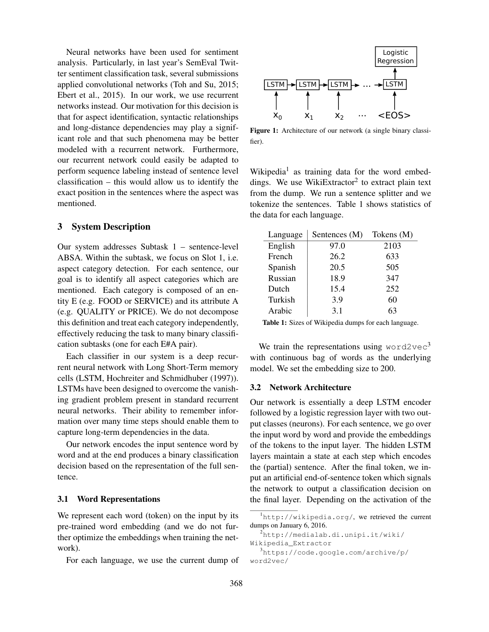Neural networks have been used for sentiment analysis. Particularly, in last year's SemEval Twitter sentiment classification task, several submissions applied convolutional networks (Toh and Su, 2015; Ebert et al., 2015). In our work, we use recurrent networks instead. Our motivation for this decision is that for aspect identification, syntactic relationships and long-distance dependencies may play a significant role and that such phenomena may be better modeled with a recurrent network. Furthermore, our recurrent network could easily be adapted to perform sequence labeling instead of sentence level classification – this would allow us to identify the exact position in the sentences where the aspect was mentioned.

## 3 System Description

Our system addresses Subtask 1 – sentence-level ABSA. Within the subtask, we focus on Slot 1, i.e. aspect category detection. For each sentence, our goal is to identify all aspect categories which are mentioned. Each category is composed of an entity E (e.g. FOOD or SERVICE) and its attribute A (e.g. QUALITY or PRICE). We do not decompose this definition and treat each category independently, effectively reducing the task to many binary classification subtasks (one for each E#A pair).

Each classifier in our system is a deep recurrent neural network with Long Short-Term memory cells (LSTM, Hochreiter and Schmidhuber (1997)). LSTMs have been designed to overcome the vanishing gradient problem present in standard recurrent neural networks. Their ability to remember information over many time steps should enable them to capture long-term dependencies in the data.

Our network encodes the input sentence word by word and at the end produces a binary classification decision based on the representation of the full sentence.

#### 3.1 Word Representations

We represent each word (token) on the input by its pre-trained word embedding (and we do not further optimize the embeddings when training the network).

For each language, we use the current dump of



Figure 1: Architecture of our network (a single binary classifier).

Wikipedia<sup>1</sup> as training data for the word embeddings. We use WikiExtractor<sup>2</sup> to extract plain text from the dump. We run a sentence splitter and we tokenize the sentences. Table 1 shows statistics of the data for each language.

| Language | Sentences (M) | Tokens (M) |
|----------|---------------|------------|
| English  | 97.0          | 2103       |
| French   | 26.2          | 633        |
| Spanish  | 20.5          | 505        |
| Russian  | 18.9          | 347        |
| Dutch    | 15.4          | 252        |
| Turkish  | 3.9           | 60         |
| Arabic   | 3.1           | 63         |

Table 1: Sizes of Wikipedia dumps for each language.

We train the representations using word2vec<sup>3</sup> with continuous bag of words as the underlying model. We set the embedding size to 200.

#### 3.2 Network Architecture

Our network is essentially a deep LSTM encoder followed by a logistic regression layer with two output classes (neurons). For each sentence, we go over the input word by word and provide the embeddings of the tokens to the input layer. The hidden LSTM layers maintain a state at each step which encodes the (partial) sentence. After the final token, we input an artificial end-of-sentence token which signals the network to output a classification decision on the final layer. Depending on the activation of the

<sup>1</sup>http://wikipedia.org/, we retrieved the current dumps on January 6, 2016.

<sup>2</sup>http://medialab.di.unipi.it/wiki/

Wikipedia\_Extractor

 $3$ https://code.google.com/archive/p/ word2vec/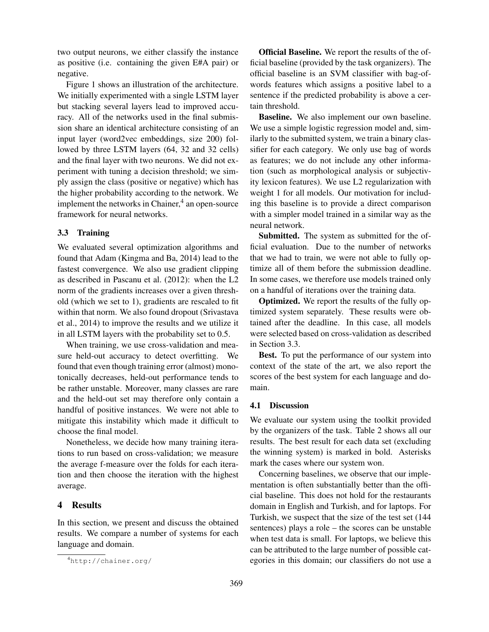two output neurons, we either classify the instance as positive (i.e. containing the given E#A pair) or negative.

Figure 1 shows an illustration of the architecture. We initially experimented with a single LSTM layer but stacking several layers lead to improved accuracy. All of the networks used in the final submission share an identical architecture consisting of an input layer (word2vec embeddings, size 200) followed by three LSTM layers (64, 32 and 32 cells) and the final layer with two neurons. We did not experiment with tuning a decision threshold; we simply assign the class (positive or negative) which has the higher probability according to the network. We implement the networks in Chainer,<sup>4</sup> an open-source framework for neural networks.

## 3.3 Training

We evaluated several optimization algorithms and found that Adam (Kingma and Ba, 2014) lead to the fastest convergence. We also use gradient clipping as described in Pascanu et al. (2012): when the L2 norm of the gradients increases over a given threshold (which we set to 1), gradients are rescaled to fit within that norm. We also found dropout (Srivastava et al., 2014) to improve the results and we utilize it in all LSTM layers with the probability set to 0.5.

When training, we use cross-validation and measure held-out accuracy to detect overfitting. We found that even though training error (almost) monotonically decreases, held-out performance tends to be rather unstable. Moreover, many classes are rare and the held-out set may therefore only contain a handful of positive instances. We were not able to mitigate this instability which made it difficult to choose the final model.

Nonetheless, we decide how many training iterations to run based on cross-validation; we measure the average f-measure over the folds for each iteration and then choose the iteration with the highest average.

## 4 Results

In this section, we present and discuss the obtained results. We compare a number of systems for each language and domain.

Official Baseline. We report the results of the official baseline (provided by the task organizers). The official baseline is an SVM classifier with bag-ofwords features which assigns a positive label to a sentence if the predicted probability is above a certain threshold.

Baseline. We also implement our own baseline. We use a simple logistic regression model and, similarly to the submitted system, we train a binary classifier for each category. We only use bag of words as features; we do not include any other information (such as morphological analysis or subjectivity lexicon features). We use L2 regularization with weight 1 for all models. Our motivation for including this baseline is to provide a direct comparison with a simpler model trained in a similar way as the neural network.

Submitted. The system as submitted for the official evaluation. Due to the number of networks that we had to train, we were not able to fully optimize all of them before the submission deadline. In some cases, we therefore use models trained only on a handful of iterations over the training data.

Optimized. We report the results of the fully optimized system separately. These results were obtained after the deadline. In this case, all models were selected based on cross-validation as described in Section 3.3.

Best. To put the performance of our system into context of the state of the art, we also report the scores of the best system for each language and domain.

#### 4.1 Discussion

We evaluate our system using the toolkit provided by the organizers of the task. Table 2 shows all our results. The best result for each data set (excluding the winning system) is marked in bold. Asterisks mark the cases where our system won.

Concerning baselines, we observe that our implementation is often substantially better than the official baseline. This does not hold for the restaurants domain in English and Turkish, and for laptops. For Turkish, we suspect that the size of the test set (144 sentences) plays a role – the scores can be unstable when test data is small. For laptops, we believe this can be attributed to the large number of possible categories in this domain; our classifiers do not use a

<sup>4</sup>http://chainer.org/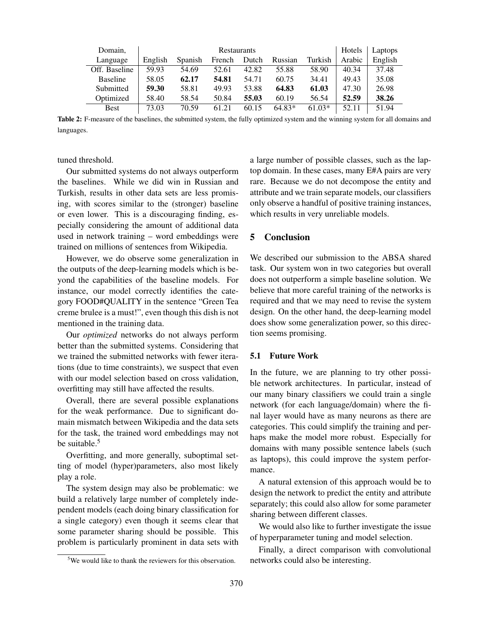| Domain,         | <b>Restaurants</b> |         |        |       |          |          | Hotels | Laptops |
|-----------------|--------------------|---------|--------|-------|----------|----------|--------|---------|
| Language        | English            | Spanish | French | Dutch | Russian  | Turkish  | Arabic | English |
| Off. Baseline   | 59.93              | 54.69   | 52.61  | 42.82 | 55.88    | 58.90    | 40.34  | 37.48   |
| <b>Baseline</b> | 58.05              | 62.17   | 54.81  | 54.71 | 60.75    | 34.41    | 49.43  | 35.08   |
| Submitted       | 59.30              | 58.81   | 49.93  | 53.88 | 64.83    | 61.03    | 47.30  | 26.98   |
| Optimized       | 58.40              | 58.54   | 50.84  | 55.03 | 60.19    | 56.54    | 52.59  | 38.26   |
| <b>Best</b>     | 73.03              | 70.59   | 61.21  | 60.15 | $64.83*$ | $61.03*$ | 52.11  | 51.94   |

Table 2: F-measure of the baselines, the submitted system, the fully optimized system and the winning system for all domains and languages.

tuned threshold.

Our submitted systems do not always outperform the baselines. While we did win in Russian and Turkish, results in other data sets are less promising, with scores similar to the (stronger) baseline or even lower. This is a discouraging finding, especially considering the amount of additional data used in network training – word embeddings were trained on millions of sentences from Wikipedia.

However, we do observe some generalization in the outputs of the deep-learning models which is beyond the capabilities of the baseline models. For instance, our model correctly identifies the category FOOD#QUALITY in the sentence "Green Tea creme brulee is a must!", even though this dish is not mentioned in the training data.

Our *optimized* networks do not always perform better than the submitted systems. Considering that we trained the submitted networks with fewer iterations (due to time constraints), we suspect that even with our model selection based on cross validation, overfitting may still have affected the results.

Overall, there are several possible explanations for the weak performance. Due to significant domain mismatch between Wikipedia and the data sets for the task, the trained word embeddings may not be suitable.<sup>5</sup>

Overfitting, and more generally, suboptimal setting of model (hyper)parameters, also most likely play a role.

The system design may also be problematic: we build a relatively large number of completely independent models (each doing binary classification for a single category) even though it seems clear that some parameter sharing should be possible. This problem is particularly prominent in data sets with

a large number of possible classes, such as the laptop domain. In these cases, many E#A pairs are very rare. Because we do not decompose the entity and attribute and we train separate models, our classifiers only observe a handful of positive training instances, which results in very unreliable models.

# 5 Conclusion

We described our submission to the ABSA shared task. Our system won in two categories but overall does not outperform a simple baseline solution. We believe that more careful training of the networks is required and that we may need to revise the system design. On the other hand, the deep-learning model does show some generalization power, so this direction seems promising.

#### 5.1 Future Work

In the future, we are planning to try other possible network architectures. In particular, instead of our many binary classifiers we could train a single network (for each language/domain) where the final layer would have as many neurons as there are categories. This could simplify the training and perhaps make the model more robust. Especially for domains with many possible sentence labels (such as laptops), this could improve the system performance.

A natural extension of this approach would be to design the network to predict the entity and attribute separately; this could also allow for some parameter sharing between different classes.

We would also like to further investigate the issue of hyperparameter tuning and model selection.

Finally, a direct comparison with convolutional networks could also be interesting.

<sup>&</sup>lt;sup>5</sup>We would like to thank the reviewers for this observation.